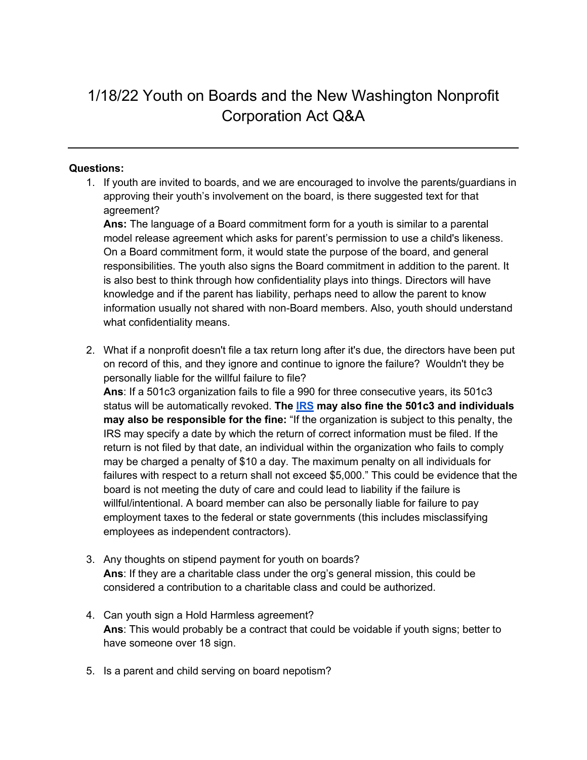## 1/18/22 Youth on Boards and the New Washington Nonprofit Corporation Act Q&A

## **Questions:**

1. If youth are invited to boards, and we are encouraged to involve the parents/guardians in approving their youth's involvement on the board, is there suggested text for that agreement?

**Ans:** The language of a Board commitment form for a youth is similar to a parental model release agreement which asks for parent's permission to use a child's likeness. On a Board commitment form, it would state the purpose of the board, and general responsibilities. The youth also signs the Board commitment in addition to the parent. It is also best to think through how confidentiality plays into things. Directors will have knowledge and if the parent has liability, perhaps need to allow the parent to know information usually not shared with non-Board members. Also, youth should understand what confidentiality means.

2. What if a nonprofit doesn't file a tax return long after it's due, the directors have been put on record of this, and they ignore and continue to ignore the failure? Wouldn't they be personally liable for the willful failure to file?

**Ans**: If a 501c3 organization fails to file a 990 for three consecutive years, its 501c3 status will be automatically revoked. **The IRS may also fine the 501c3 and individuals may also be responsible for the fine:** "If the organization is subject to this penalty, the IRS may specify a date by which the return of correct information must be filed. If the return is not filed by that date, an individual within the organization who fails to comply may be charged a penalty of \$10 a day. The maximum penalty on all individuals for failures with respect to a return shall not exceed \$5,000." This could be evidence that the board is not meeting the duty of care and could lead to liability if the failure is willful/intentional. A board member can also be personally liable for failure to pay employment taxes to the federal or state governments (this includes misclassifying employees as independent contractors).

- 3. Any thoughts on stipend payment for youth on boards? **Ans**: If they are a charitable class under the org's general mission, this could be considered a contribution to a charitable class and could be authorized.
- 4. Can youth sign a Hold Harmless agreement? **Ans**: This would probably be a contract that could be voidable if youth signs; better to have someone over 18 sign.
- 5. Is a parent and child serving on board nepotism?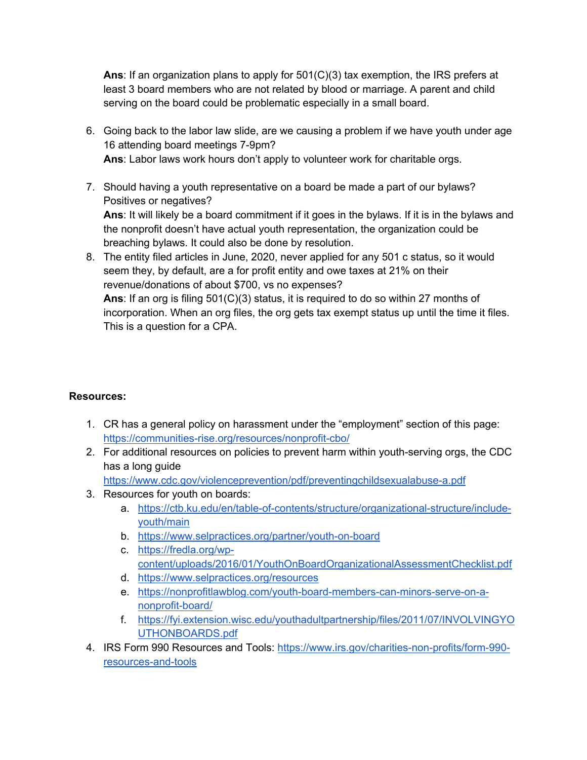**Ans**: If an organization plans to apply for 501(C)(3) tax exemption, the IRS prefers at least 3 board members who are not related by blood or marriage. A parent and child serving on the board could be problematic especially in a small board.

- 6. Going back to the labor law slide, are we causing a problem if we have youth under age 16 attending board meetings 7-9pm? **Ans**: Labor laws work hours don't apply to volunteer work for charitable orgs.
- 7. Should having a youth representative on a board be made a part of our bylaws? Positives or negatives? **Ans**: It will likely be a board commitment if it goes in the bylaws. If it is in the bylaws and the nonprofit doesn't have actual youth representation, the organization could be breaching bylaws. It could also be done by resolution.
- 8. The entity filed articles in June, 2020, never applied for any 501 c status, so it would seem they, by default, are a for profit entity and owe taxes at 21% on their revenue/donations of about \$700, vs no expenses? **Ans**: If an org is filing 501(C)(3) status, it is required to do so within 27 months of incorporation. When an org files, the org gets tax exempt status up until the time it files. This is a question for a CPA.

## **Resources:**

- 1. CR has a general policy on harassment under the "employment" section of this page: https://communities-rise.org/resources/nonprofit-cbo/
- 2. For additional resources on policies to prevent harm within youth-serving orgs, the CDC has a long guide

https://www.cdc.gov/violenceprevention/pdf/preventingchildsexualabuse-a.pdf

- 3. Resources for youth on boards:
	- a. https://ctb.ku.edu/en/table-of-contents/structure/organizational-structure/includeyouth/main
	- b. https://www.selpractices.org/partner/youth-on-board
	- c. https://fredla.org/wpcontent/uploads/2016/01/YouthOnBoardOrganizationalAssessmentChecklist.pdf
	- d. https://www.selpractices.org/resources
	- e. https://nonprofitlawblog.com/youth-board-members-can-minors-serve-on-anonprofit-board/
	- f. https://fyi.extension.wisc.edu/youthadultpartnership/files/2011/07/INVOLVINGYO UTHONBOARDS.pdf
- 4. IRS Form 990 Resources and Tools: https://www.irs.gov/charities-non-profits/form-990 resources-and-tools